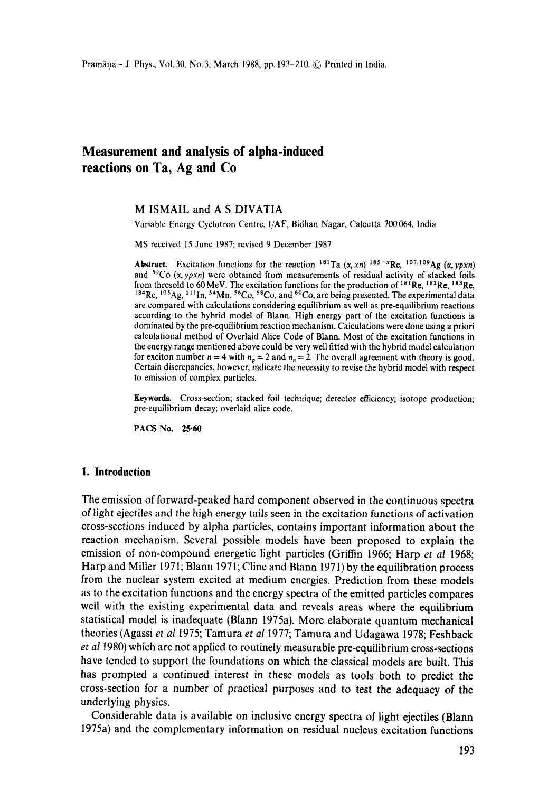# **Measurement and analysis of alpha-induced reactions on Ta, Ag and Co**

M ISMAIL and A S DIVATIA

Variable Energy Cyclotron Centre, I/AF, Bidhan Nagar, Calcutta 700064, India

MS received 15 June 1987; revised 9 December 1987

**Abstract.** Excitation functions for the reaction  $^{181}$ Ta  $(\alpha, xn)$   $^{185-x}$ Re,  $^{107,109}$ Ag  $(\alpha, ypxn)$ and  $5\degree$ Co  $(\alpha, ypxn)$  were obtained from measurements of residual activity of stacked foils from thresold to 60 MeV. The excitation functions for the production of  $^{181}$ Re,  $^{182}$ Re,  $^{183}$ Re,  $^{184}$ Re,  $^{105}$ Ag,  $^{111}$ In,  $^{54}$ Mn,  $^{56}$ Co,  $^{58}$ Co, and  $^{60}$ Co, are being presented. The experimental data are compared with calculations considering equilibrium as well as pre-equilibrium reactions according to the hybrid model of Blann. High energy part of the excitation functions is dominated by the pre-equilibrium reaction mechanism. Calculations were done using a priori calculational method of Overlaid Alice Code of Blann. Most of the excitation functions in the energy range mentioned above could be very well fitted with the hybrid model calculation for exciton number  $n = 4$  with  $n_p = 2$  and  $n_n = 2$ . The overall agreement with theory is good. Certain discrepancies, however, indicate the necessity to revise the hybrid model with respect to emission of complex particles.

**Keywords.** Cross-section; stacked foil technique; detector efficiency; isotope production; pre-equilibrium decay; overlaid alice code.

PACS No. 25.60

### **1. Introduction**

The emission of forward-peaked hard component observed in the continuous spectra of light ejectiles and the high energy tails seen in the excitation functions of activation cross-sections induced by alpha particles, contains important information about the reaction mechanism. Several possible models have been proposed to explain **the**  emission of non-compound energetic light particles (Griffin 1966; Harp *et al* 1968; Harp and Miller 1971; Blann 1971; Cline and Blann 1971) by the equilibration process from the nuclear system excited at medium energies. Prediction from these models as to the excitation functions and the energy spectra of the emitted particles compares well with the existing experimental data and reveals areas where the equilibrium statistical model is inadequate (Blann 1975a). More elaborate quantum mechanical theories (Agassi *et al* 1975; Tamura *et al* 1977; Tamura and Udagawa 1978; Feshback *et a!* 1980) which are not applied to routinely measurable pre-equilibrium cross-sections have tended to support the foundations on which the classical models are built. This has prompted a continued interest in these models as tools both to predict the cross-section for a number of practical purposes and to test the adequacy of the underlying physics.

Considerable data is available on inclusive energy spectra of light ejectiles (Blann 1975a) and the complementary information on residual nucleus excitation functions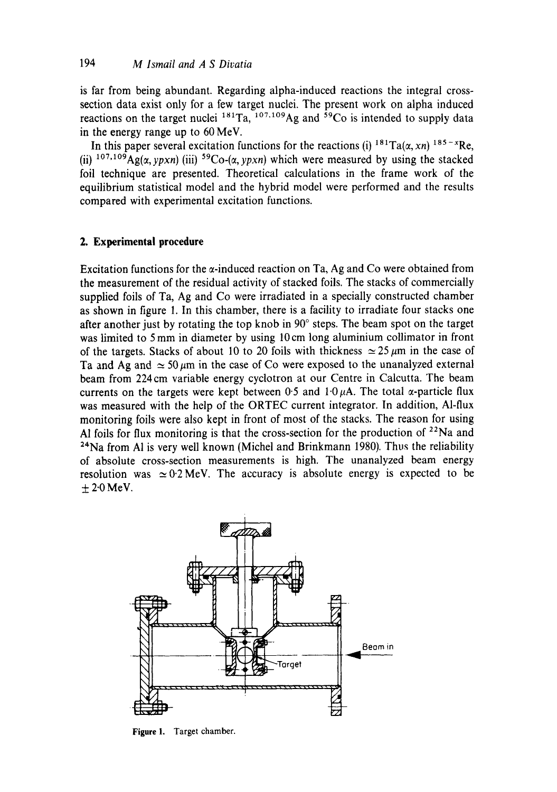is far from being abundant. Regarding alpha-induced reactions the integral crosssection data exist only for a few target nuclei. The present work on alpha induced reactions on the target nuclei  $^{181}$ Ta,  $^{107,109}$ Ag and  $^{59}$ Co is intended to supply data in the energy range up to 60 MeV.

In this paper several excitation functions for the reactions (i)  $181Ta(x, xn)$   $185-xRe$ , (ii) <sup>107,109</sup>Ag( $\alpha$ , ypxn) (iii) <sup>59</sup>Co-( $\alpha$ , ypxn) which were measured by using the stacked foil technique are presented. Theoretical calculations in the frame work of the equilibrium statistical model and the hybrid model were performed and the results compared with experimental excitation functions.

# **2. Experimental procedure**

Excitation functions for the  $\alpha$ -induced reaction on Ta, Ag and Co were obtained from the measurement of the residual activity of stacked foils. The stacks of commercially supplied foils of Ta, Ag and Co were irradiated in a specially constructed chamber as shown in figure 1. In this chamber, there is a facility to irradiate four stacks one after another just by rotating the top knob in  $90^\circ$  steps. The beam spot on the target was limited to 5 mm in diameter by using 10 cm long aluminium collimator in front of the targets. Stacks of about 10 to 20 foils with thickness  $\simeq$  25  $\mu$ m in the case of Ta and Ag and  $\approx$  50  $\mu$ m in the case of Co were exposed to the unanalyzed external beam from 224 cm variable energy cyclotron at our Centre in Calcutta. The beam currents on the targets were kept between 0.5 and  $1.0 \mu$ A. The total  $\alpha$ -particle flux was measured with the help of the ORTEC current integrator. In addition, Al-flux monitoring foils were also kept in front of most of the stacks. The reason for using Al foils for flux monitoring is that the cross-section for the production of  $22$ Na and <sup>24</sup>Na from Al is very well known (Michel and Brinkmann 1980). Thus the reliability of absolute cross-section measurements is high. The unanalyzed beam energy resolution was  $\simeq 0.2$  MeV. The accuracy is absolute energy is expected to be  $\pm 2.0$  MeV.



Figure 1. Target chamber.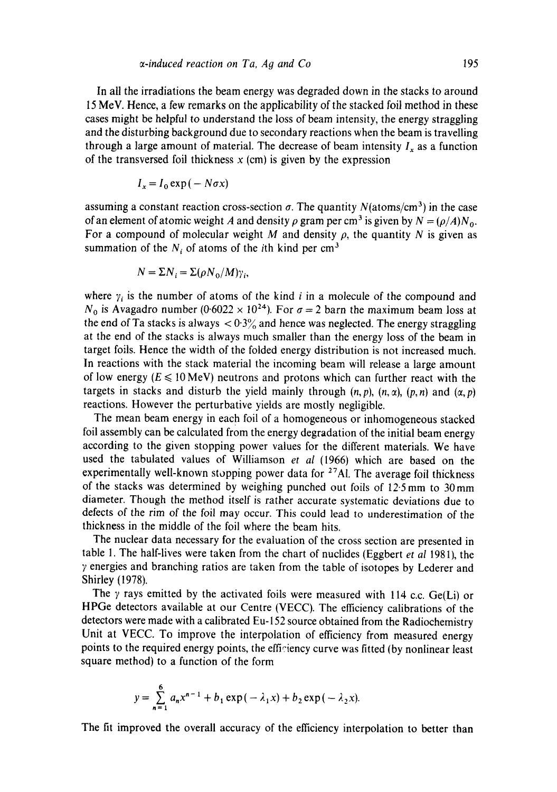In all the irradiations the beam energy was degraded down in the stacks to around 15 MeV. Hence, a few remarks on the applicability of the stacked foil method in these cases might be helpful to understand the loss of beam intensity, the energy straggling and the disturbing background due to secondary reactions when the beam is travelling through a large amount of material. The decrease of beam intensity  $I_x$  as a function of the transversed foil thickness  $x$  (cm) is given by the expression

$$
I_x = I_0 \exp(-N\sigma x)
$$

assuming a constant reaction cross-section  $\sigma$ . The quantity N(atoms/cm<sup>3</sup>) in the case of an element of atomic weight A and density  $\rho$  gram per cm<sup>3</sup> is given by  $N = (\rho/A)N_0$ . For a compound of molecular weight M and density  $\rho$ , the quantity N is given as summation of the  $N_i$  of atoms of the *i*th kind per cm<sup>3</sup>

$$
N = \Sigma N_i = \Sigma (\rho N_0 / M) \gamma_i,
$$

where  $\gamma_i$  is the number of atoms of the kind i in a molecule of the compound and  $N_0$  is Avagadro number (0.6022 × 10<sup>24</sup>). For  $\sigma = 2$  barn the maximum beam loss at the end of Ta stacks is always  $\langle 0.3\% \rangle$  and hence was neglected. The energy straggling at the end of the stacks is always much smaller than the energy loss of the beam in target foils. Hence the width of the folded energy distribution is not increased much. In reactions with the stack material the incoming beam will release a large amount of low energy ( $E \le 10 \,\text{MeV}$ ) neutrons and protons which can further react with the targets in stacks and disturb the yield mainly through  $(n, p)$ ,  $(n, \alpha)$ ,  $(p, n)$  and  $(\alpha, p)$ reactions. However the perturbative yields are mostly negligible.

The mean beam energy in each foil of a homogeneous or inhomogeneous stacked foil assembly can be calculated from the energy degradation of the initial beam energy according to the given stopping power values for the different materials. We have used the tabulated values of Williamson *et al* (1966) which are based on the experimentally well-known stopping power data for  $27$ Al. The average foil thickness of the stacks was determined by weighing punched out foils of 12.5mm to 30mm diameter. Though the method itself is rather accurate systematic deviations due to defects of the rim of the foil may occur. This could lead to underestimation of the thickness in the middle of the foil where the beam hits.

The nuclear data necessary for the evaluation of the cross section are presented in table 1. The half-lives were taken from the chart of nuclides (Eggbert *et al* 1981), the ? energies and branching ratios are taken from the table of isotopes by Lederer and Shirley (1978).

The  $\gamma$  rays emitted by the activated foils were measured with 114 c.c. Ge(Li) or HPGe detectors available at our Centre (VECC). The efficiency calibrations of the detectors were made with a calibrated Eu- 152 source obtained from the Radiochemistry Unit at VECC. To improve the interpolation of efficiency from measured energy points to the required energy points, the efficiency curve was fitted (by nonlinear least square method) to a function of the form

$$
y = \sum_{n=1}^{6} a_n x^{n-1} + b_1 \exp(-\lambda_1 x) + b_2 \exp(-\lambda_2 x).
$$

The fit improved the overall accuracy of the efficiency interpolation to better than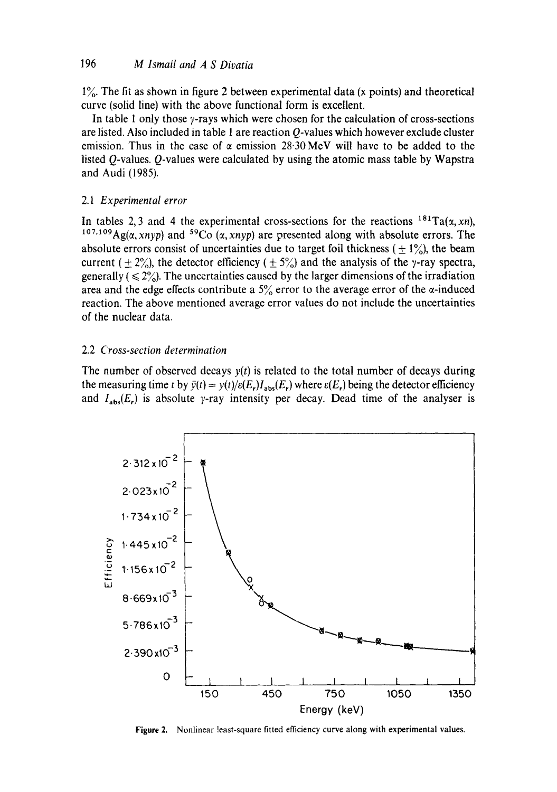$1\%$ . The fit as shown in figure 2 between experimental data (x points) and theoretical curve (solid line) with the above functional form is excellent.

In table 1 only those  $\gamma$ -rays which were chosen for the calculation of cross-sections are listed. Also included in table 1 are reaction Q-values which however exclude cluster emission. Thus in the case of  $\alpha$  emission 28.30 MeV will have to be added to the listed Q-values. Q-values were calculated by using the atomic mass table by Wapstra and Audi (1985).

### 2.1 *Experimental error*

In tables 2,3 and 4 the experimental cross-sections for the reactions  $181 \text{ Ta}(\alpha, \text{xn})$ , <sup>107,109</sup>Ag( $\alpha$ , xnyp) and <sup>59</sup>Co  $(\alpha$ , xnyp) are presented along with absolute errors. The absolute errors consist of uncertainties due to target foil thickness ( $\pm 1\%$ ), the beam current (  $\pm$  2%), the detector efficiency (  $\pm$  5%) and the analysis of the y-ray spectra, generally ( $\leq 2\%$ ). The uncertainties caused by the larger dimensions of the irradiation area and the edge effects contribute a  $5\%$  error to the average error of the  $\alpha$ -induced reaction. The above mentioned average error values do not include the uncertainties of the nuclear data.

### 2.2 *Cross-section determination*

The number of observed decays *y(t)* is related to the total number of decays during the measuring time t by  $\bar{y}(t) = y(t)/\epsilon(E_r)I_{\text{abs}}(E_r)$  where  $\epsilon(E_r)$  being the detector efficiency and  $I_{\text{abs}}(E_r)$  is absolute y-ray intensity per decay. Dead time of the analyser is



Figure 2. Nonlinear least-square fitted efficiency curve along with experimental values.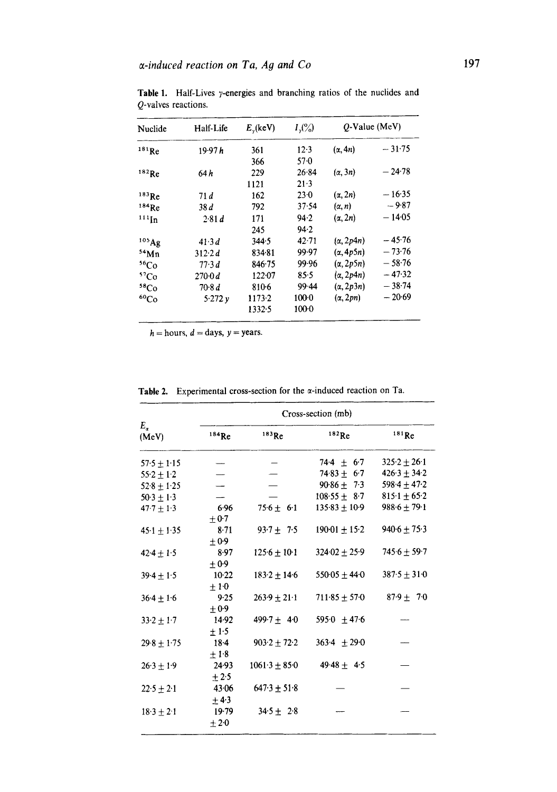| Nuclide              | Half-Life<br>19.97h | $E_{y}$ (keV)<br>361 | $I_{\gamma}(^{\circ}\!\gamma_{0})$<br>$12-3$ | $O-Value$ (MeV)  |          |
|----------------------|---------------------|----------------------|----------------------------------------------|------------------|----------|
| 181Re                |                     |                      |                                              | $(\alpha, 4n)$   | $-31.75$ |
|                      |                     | 366                  | $57-0$                                       |                  |          |
| $182$ Re             | 64 h                | 229                  | 26.84                                        | $(\alpha, 3n)$   | $-24.78$ |
|                      |                     | 1121                 | $21-3$                                       |                  |          |
| $183$ <sub>Re</sub>  | 71d                 | 162                  | $23-0$                                       | $(\alpha, 2n)$   | $-16.35$ |
| 184Re                | 38d                 | 792                  | 37.54                                        | $(\alpha, n)$    | $-9.87$  |
| $^{111}\mathrm{In}$  | 2.81 d              | 171                  | 94.2                                         | $(\alpha, 2n)$   | $-14.05$ |
|                      |                     | 245                  | 94.2                                         |                  |          |
| 105 Ag               | 41.3d               | 344.5                | $42 - 71$                                    | $(\alpha, 2p4n)$ | $-45.76$ |
| 54Mn                 | 312.2 d             | 834.81               | 99.97                                        | $(\alpha, 4p5n)$ | $-73.76$ |
| 56Co                 | 77.3d               | 846.75               | 99.96                                        | $(\alpha, 2p5n)$ | $-58.76$ |
| 57 <sub>Co</sub>     | 2700d               | 122:07               | 85.5                                         | $(\alpha, 2p4n)$ | $-47.32$ |
| 58 <sub>Co</sub>     | 70.8 d              | 810-6                | $99 - 44$                                    | $(\alpha, 2p3n)$ | $-38.74$ |
| ${}^{60}\mathrm{Co}$ | 5.272y              | 1173.2               | $100-0$                                      | $(\alpha, 2pn)$  | $-20.69$ |
|                      |                     | 1332.5               | $100-0$                                      |                  |          |

Table 1. Half-Lives  $\gamma$ -energies and branching ratios of the nuclides and Q-valves reactions.

 $h =$  hours,  $d =$  days,  $y =$  years.

|                       | Cross-section (mb)   |                   |                   |                  |  |  |
|-----------------------|----------------------|-------------------|-------------------|------------------|--|--|
| $E_{\alpha}$<br>(MeV) | $184$ <sub>Re</sub>  | $183$ Re          | $182$ Re          | $181$ Re         |  |  |
| $57.5 + 1.15$         |                      |                   | $744 + 67$        | $325.2 + 26.1$   |  |  |
| $55.2 + 1.2$          |                      |                   | $74.83 \pm 6.7$   | $426.3 \pm 34.2$ |  |  |
| $52.8 \pm 1.25$       |                      |                   | $90.86 + 7.3$     | $598.4 + 47.2$   |  |  |
| $50.3 + 1.3$          |                      |                   | $108.55 + 8.7$    | $815.1 \pm 65.2$ |  |  |
| $47.7 \pm 1.3$        | 6.96<br>$+0.7$       | $75.6 \pm 6.1$    | $135.83 \pm 10.9$ | $988.6 \pm 79.1$ |  |  |
| $45.1 + 1.35$         | $8 - 71$<br>±0.9     | $93.7 + 7.5$      | $190-01 \pm 15-2$ | $940.6 + 75.3$   |  |  |
| $42.4 + 1.5$          | 8.97<br>$+0.9$       | $125.6 \pm 10.1$  | $324.02 + 25.9$   | $745.6 + 59.7$   |  |  |
| $39.4 + 1.5$          | $10-22$<br>$\pm 1.0$ | $183.2 + 14.6$    | $550.05 \pm 44.0$ | $387.5 \pm 31.0$ |  |  |
| $36.4 + 1.6$          | 9.25<br>±0.9         | $263.9 + 21.1$    | $711.85 + 57.0$   | $87.9 \pm 7.0$   |  |  |
| $33.2 + 1.7$          | 14.92<br>$+1.5$      | 499.7 $\pm$ 4.0   | 595.0 $\pm$ 47.6  |                  |  |  |
| $29.8 + 1.75$         | $18-4$<br>$\pm 1.8$  | $903.2 + 72.2$    | $363.4 + 29.0$    |                  |  |  |
| $26.3 + 1.9$          | 24.93<br>$+2.5$      | $1061.3 \pm 85.0$ | $49.48 + 4.5$     |                  |  |  |
| $22.5 + 2.1$          | 43.06<br>$+4.3$      | $647.3 + 51.8$    |                   |                  |  |  |
| $18.3 + 2.1$          | $19-79$<br>$\pm 2.0$ | $34.5 \pm 2.8$    |                   |                  |  |  |

Table 2. Experimental cross-section for the  $\alpha$ -induced reaction on Ta.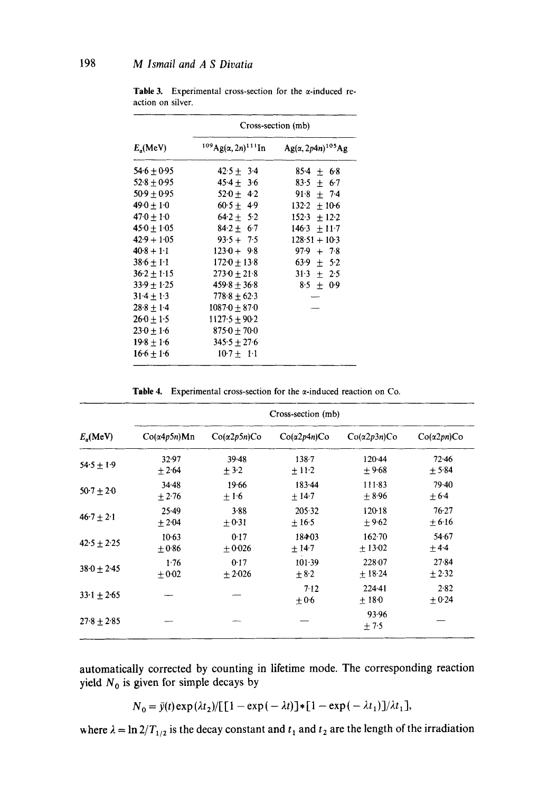|                      | Cross-section (mb)            |                            |  |  |
|----------------------|-------------------------------|----------------------------|--|--|
| E <sub>a</sub> (MeV) | $^{109}Ag(\alpha,2n)^{111}In$ | $Ag(\alpha, 2p4n)^{105}Ag$ |  |  |
| 54.6 ± 0.95          | $42.5 \pm 3.4$                | $85.4 \pm 6.8$             |  |  |
| $52.8 + 0.95$        | $45.4 \pm 3.6$                | $83.5 \pm 6.7$             |  |  |
| $50.9 \pm 0.95$      | $520 + 42$                    | $91.8 \pm 7.4$             |  |  |
| 49 $0 \pm 1$ $0$     | $60.5 + 4.9$                  | $132.2 \pm 10.6$           |  |  |
| 47·0 ± 1·0           | $64.2 \pm 5.2$                | $152.3 + 12.2$             |  |  |
| $45.0 \pm 1.05$      | $84.2 + 6.7$                  | $146.3 + 11.7$             |  |  |
| $42.9 + 1.05$        | $93.5 + 7.5$                  | $128.51 + 10.3$            |  |  |
| $40.8 + 1.1$         | $123.0 + 9.8$                 | $97.9 + 7.8$               |  |  |
| $38.6 \pm 1.1$       | $172.0 \pm 13.8$              | 63.9 $\pm$ 5.2             |  |  |
| $36.2 \pm 1.15$      | $273.0 \pm 21.8$              | $31.3 \pm 2.5$             |  |  |
| 33.9 ± 1.25          | $459.8 \pm 36.8$              | $8.5 \pm 0.9$              |  |  |
| $31.4 \pm 1.3$       | $778.8 \pm 62.3$              |                            |  |  |
| $28.8 \pm 1.4$       | $10870 \pm 870$               |                            |  |  |
| $26.0 \pm 1.5$       | $1127.5 \pm 90.2$             |                            |  |  |
| $23.0 \pm 1.6$       | $875.0 \pm 70.0$              |                            |  |  |
| $19.8 \pm 1.6$       | $345.5 \pm 27.6$              |                            |  |  |
| $16.6 \pm 1.6$       | $10.7 \pm 1.1$                |                            |  |  |

Table 3. Experimental cross-section for the  $\alpha$ -induced reaction on silver.

Table 4. Experimental cross-section for the  $\alpha$ -induced reaction on Co.

| $E_{\alpha}$ (MeV) | Cross-section (mb)   |                    |                    |                     |                   |  |  |
|--------------------|----------------------|--------------------|--------------------|---------------------|-------------------|--|--|
|                    | $Co(\alpha 4p5n)$ Mn | $Co(\alpha2p5n)Co$ | $Co(\alpha2p4n)Co$ | $Co(\alpha2p3n)Co$  | $Co(\alpha2pn)Co$ |  |  |
| $54.5 + 1.9$       | 32.97                | $39 - 48$          | $138 - 7$          | $120-44$            | $72 - 46$         |  |  |
|                    | $+2.64$              | $+3.2$             | $+11.2$            | ±9.68               | $+5.84$           |  |  |
| $50-7 + 20$        | 34.48                | 19.66              | 183.44             | 111.83              | 79.40             |  |  |
|                    | $+2.76$              | $+1.6$             | $+14.7$            | $\pm$ 8.96          | $+6.4$            |  |  |
| $46.7 + 2.1$       | $25-49$              | 3.88               | 205.32             | 12018               | $76-27$           |  |  |
|                    | ± 2.04               | $+0.31$            | $+16.5$            | $+9.62$             | $+6.16$           |  |  |
| $42.5 + 2.25$      | $10-63$              | 0.17               | 18403              | 162.70              | 54.67             |  |  |
|                    | $+0.86$              | $+0.026$           | ± 14.7             | $+13.02$            | $+4.4$            |  |  |
| $38.0 + 2.45$      | 1.76                 | 0.17               | 101.39             | 228 07              | $27 - 84$         |  |  |
|                    | $+0.02$              | $+2.026$           | $+8.2$             | $+18.24$            | $\pm 2.32$        |  |  |
| $33.1 + 2.65$      |                      |                    | 7.12<br>$\pm 0.6$  | $224-41$<br>$+18.0$ | 2.82<br>$+0.24$   |  |  |
| $27.8 + 2.85$      |                      |                    |                    | 93.96<br>$+7.5$     |                   |  |  |

automatically corrected by counting in lifetime mode. The corresponding reaction yield  $N_0$  is given for simple decays by

$$
N_0 = \bar{y}(t) \exp(\lambda t_2) / \left[1 - \exp(-\lambda t)\right] * \left[1 - \exp(-\lambda t_1)\right] / \lambda t_1,
$$

where  $\lambda = \ln 2/T_{1/2}$  is the decay constant and  $t_1$  and  $t_2$  are the length of the irradiation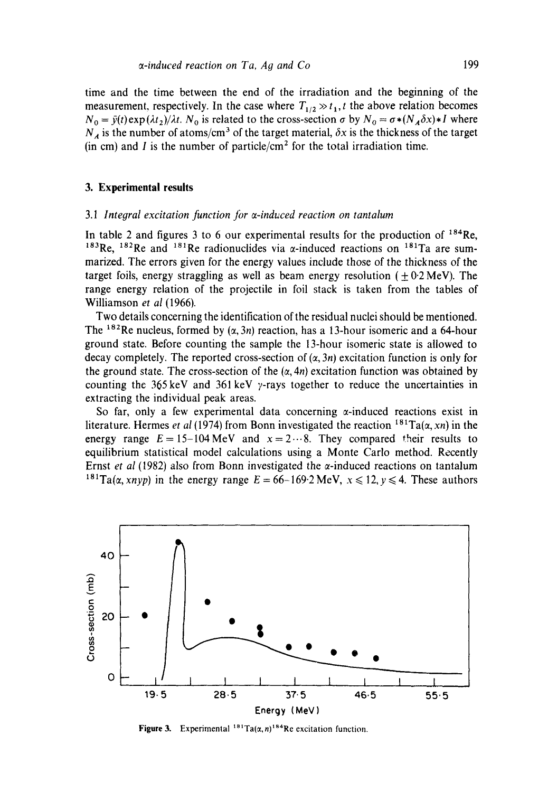time and the time between the end of the irradiation and the beginning of the measurement, respectively. In the case where  $T_{1/2} \gg t_1$ , t the above relation becomes  $N_0 = \bar{y}(t) \exp(\lambda t_2)/\lambda t$ .  $N_0$  is related to the cross-section  $\sigma$  by  $N_0 = \sigma * (N_A \delta x) * I$  where  $N_A$  is the number of atoms/cm<sup>3</sup> of the target material,  $\delta x$  is the thickness of the target (in cm) and I is the number of particle/cm<sup>2</sup> for the total irradiation time.

### **3. Experimental results**

#### *3.1 Integral excitation function Jor s-induced reaction on tantalum*

In table 2 and figures 3 to 6 our experimental results for the production of  $184$ Re, <sup>183</sup>Re, <sup>182</sup>Re and <sup>181</sup>Re radionuclides via  $\alpha$ -induced reactions on <sup>181</sup>Ta are summarized. The errors given for the energy values include those of the thickness of the target foils, energy straggling as well as beam energy resolution ( $\pm$  0.2 MeV). The range energy relation of the projectile in foil stack is taken from the tables of Williamson *et al* (1966).

Two details concerning the identification of the residual nuclei should be mentioned. The <sup>182</sup>Re nucleus, formed by  $(\alpha, 3n)$  reaction, has a 13-hour isomeric and a 64-hour ground state. Before counting the sample the 13-hour isomeric state is allowed to decay completely. The reported cross-section of  $(\alpha, 3n)$  excitation function is only for the ground state. The cross-section of the  $(\alpha, 4n)$  excitation function was obtained by counting the 365 keV and 361 keV  $\gamma$ -rays together to reduce the uncertainties in extracting the individual peak areas.

So far, only a few experimental data concerning  $\alpha$ -induced reactions exist in literature. Hermes *et al* (1974) from Bonn investigated the reaction  $^{181}Ta(\alpha, xn)$  in the energy range  $E=15-104 \text{ MeV}$  and  $x=2 \cdots 8$ . They compared their results to equilibrium statistical model calculations using a Monte Carlo method. Recently Ernst *et al* (1982) also from Bonn investigated the  $\alpha$ -induced reactions on tantalum <sup>181</sup>Ta( $\alpha$ , xnyp) in the energy range  $E = 66 - 169.2$  MeV,  $x \le 12$ ,  $y \le 4$ . These authors



**Figure 3.** Experimental  $181$ Ta( $\alpha$ , n)<sup>184</sup>Re excitation function.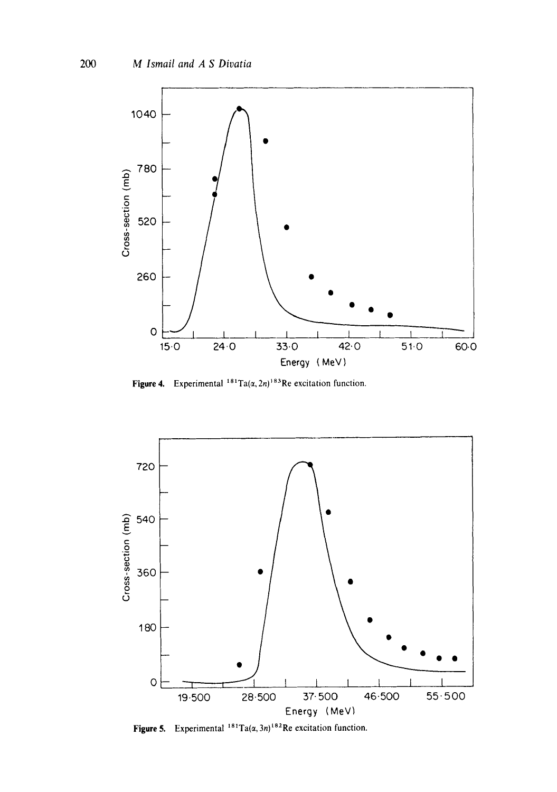

Figure 4. Experimental  $181 \text{ Ta}(\alpha, 2n)^{183} \text{Re excitation function.}$ 



**Figure 5.** Experimental  $181$ Ta( $\alpha$ , 3n)<sup>182</sup>Re excitation function.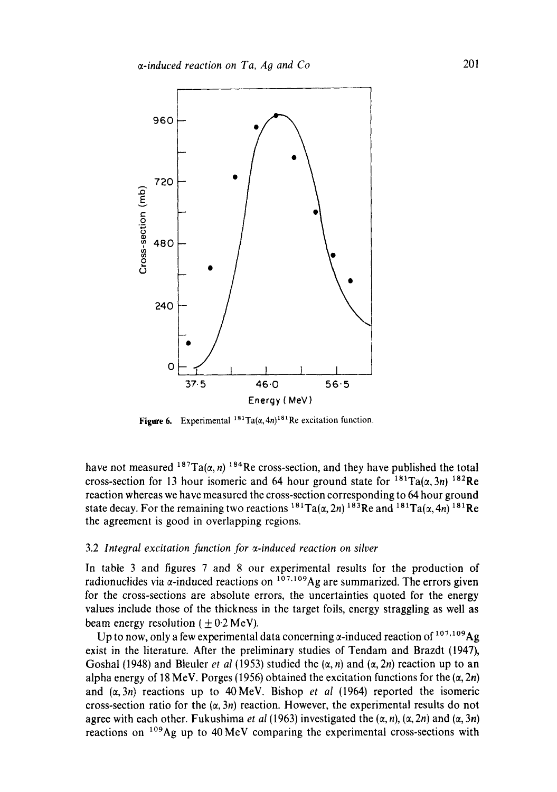

**Figure 6.** Experimental  $^{181}Ta(\alpha, 4n)^{181}$ Re excitation function.

have not measured  $187Ta(\alpha, n)$  <sup>184</sup>Re cross-section, and they have published the total cross-section for 13 hour isomeric and 64 hour ground state for  $^{181}Ta(\alpha,3n)$   $^{182}Re$ reaction whereas we have measured the cross-section corresponding to 64 hour ground state decay. For the remaining two reactions  $^{184}Ta(\alpha, 2n)^{183}Re$  and  $^{184}Ta(\alpha, 4n)^{181}Re$ the agreement is good in overlapping regions.

### 3.2 *Integral excitation function for s-induced reaction on silver*

In table 3 and figures 7 and 8 our experimental results for the production of radionuclides via  $\alpha$ -induced reactions on  $107,109$ Ag are summarized. The errors given for the cross-sections are absolute errors, the uncertainties quoted for the energy values include those of the thickness in the target foils, energy straggling as well as beam energy resolution ( $\pm$  0.2 MeV).

Up to now, only a few experimental data concerning  $\alpha$ -induced reaction of  $^{107,109}Ag$ exist in the literature. After the preliminary studies of Tendam and Brazdt (1947), Goshal (1948) and Bleuler *et al* (1953) studied the  $(\alpha, n)$  and  $(\alpha, 2n)$  reaction up to an alpha energy of 18 MeV. Porges (1956) obtained the excitation functions for the  $(\alpha, 2n)$ and  $(\alpha, 3n)$  reactions up to 40 MeV. Bishop *et al* (1964) reported the isomeric cross-section ratio for the  $(\alpha, 3n)$  reaction. However, the experimental results do not agree with each other. Fukushima *et al* (1963) investigated the  $(\alpha, n)$ ,  $(\alpha, 2n)$  and  $(\alpha, 3n)$ reactions on  $^{109}$ Ag up to 40 MeV comparing the experimental cross-sections with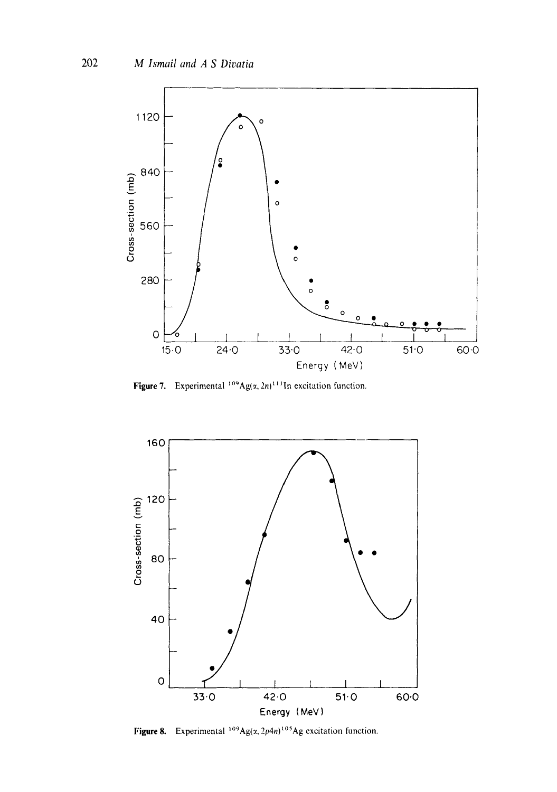

**Figure 7.** Experimental <sup>109</sup>Ag( $\alpha$ , 2n)<sup>111</sup>In excitation function.



**Figure 8.** Experimental  $^{109}Ag(x,2p4n)^{105}Ag$  excitation function.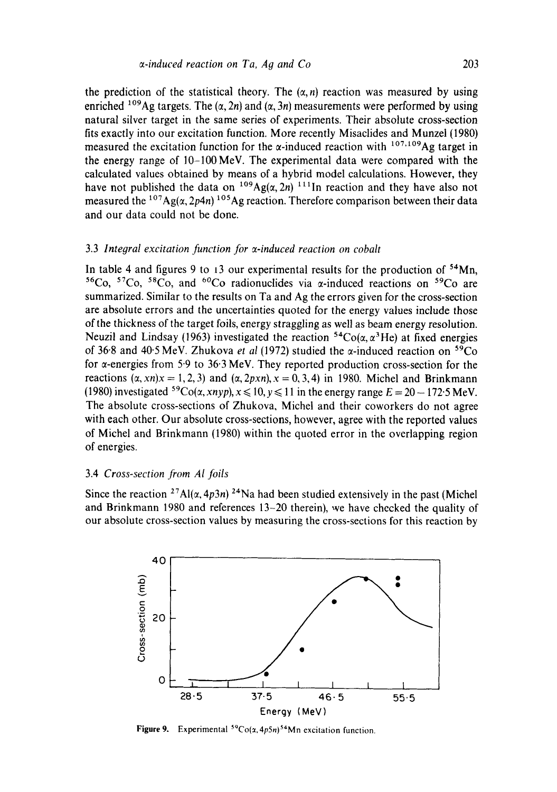the prediction of the statistical theory. The  $(\alpha, n)$  reaction was measured by using enriched <sup>109</sup>Ag targets. The  $(\alpha, 2n)$  and  $(\alpha, 3n)$  measurements were performed by using natural silver target in the same series of experiments. Their absolute cross-section fits exactly into our excitation function. More recently Misaclides and Munzel (1980) measured the excitation function for the  $\alpha$ -induced reaction with <sup>107,109</sup>Ag target in the energy range of 10-100MeV. The experimental data were compared with the calculated values obtained by means of a hybrid model calculations. However, they have not published the data on <sup>109</sup>Ag( $\alpha$ , 2n) <sup>111</sup>In reaction and they have also not measured the  $^{107}Ag(\alpha, 2p4n)$   $^{105}Ag$  reaction. Therefore comparison between their data and our data could not be done.

# 3.3 *Integral excitation function for o-induced reaction on cobalt*

In table 4 and figures 9 to 13 our experimental results for the production of  $54Mn$ , <sup>56</sup>Co, <sup>57</sup>Co, <sup>58</sup>Co, and <sup>60</sup>Co radionuclides via  $\alpha$ -induced reactions on <sup>59</sup>Co are summarized. Similar to the results on Ta and Ag the errors given for the cross-section are absolute errors and the uncertainties quoted for the energy values include those of the thickness of the target foils, energy straggling as well as beam energy resolution. Neuzil and Lindsay (1963) investigated the reaction  ${}^{54}Co(\alpha, \alpha^3He)$  at fixed energies of 36"8 and 40'5 MeV. Zhukova *et al* (1972) studied the or-induced reaction on 59Co for  $\alpha$ -energies from 5.9 to 36.3 MeV. They reported production cross-section for the reactions  $(x, xn)x = 1, 2, 3$  and  $(x, 2pxn), x = 0, 3, 4$  in 1980. Michel and Brinkmann (1980) investigated <sup>59</sup>Co( $\alpha$ , *xnyp*),  $x \le 10$ ,  $y \le 11$  in the energy range  $E = 20 - 172.5$  MeV. The absolute cross-sections of Zhukova, Michel and their coworkers do not agree with each other. Our absolute cross-sections, however, agree with the reported values of Michel and Brinkmann (1980) within the quoted error in the overlapping region of energies.

# 3.4 *Cross-section from Al jbils*

Since the reaction <sup>27</sup>Al( $\alpha$ , 4p3n) <sup>24</sup>Na had been studied extensively in the past (Michel and Brinkmann 1980 and references 13-20 therein), we have checked the quality of our absolute cross-section values by measuring the cross-sections for this reaction by



**Figure 9.** Experimental  ${}^{59}Co(x, 4p5n)^{54}Mn$  excitation function.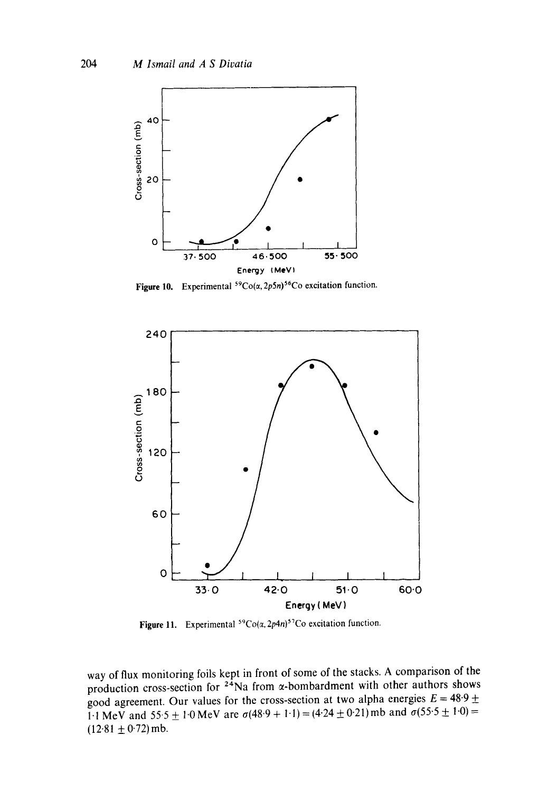

**Figure 10.** Experimental  ${}^{59}Co(\alpha, 2p5n) {}^{56}Co$  excitation function.



Figure 11. Experimental  ${}^{59}Co(\alpha, 2p4n){}^{57}Co$  excitation function.

way of flux monitoring foils kept in front of some of the stacks. A comparison of the production cross-section for  $24$ Na from  $\alpha$ -bombardment with other authors shows good agreement. Our values for the cross-section at two alpha energies  $E = 48.9 \pm$ 1.1 MeV and 55.5  $\pm$  1.0 MeV are  $\sigma(48.9 + 1.1) = (4.24 \pm 0.21)$  mb and  $\sigma(55.5 \pm 1.0) =$  $(12.81 \pm 0.72)$  mb.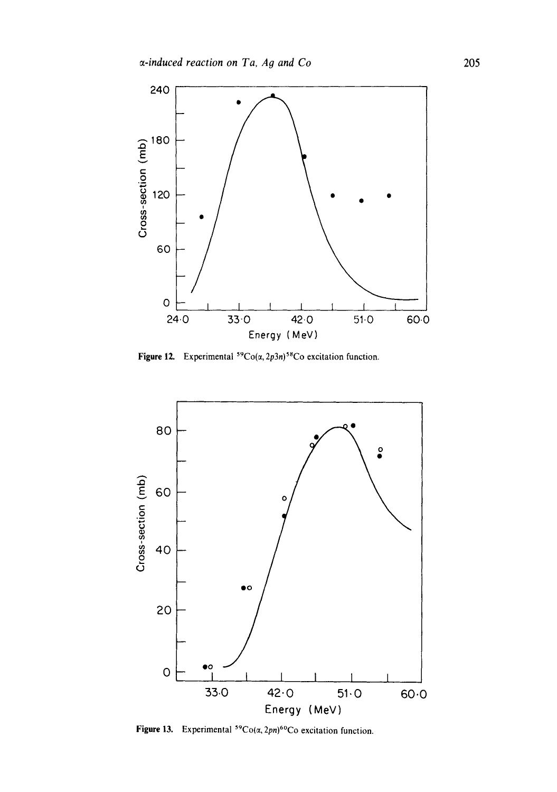

Figure 12. Experimental  ${}^{59}Co(\alpha, 2p3n){}^{58}Co$  excitation function.



Figure 13. Experimental  ${}^{59}Co(\alpha, 2pn)^{60}Co$  excitation function.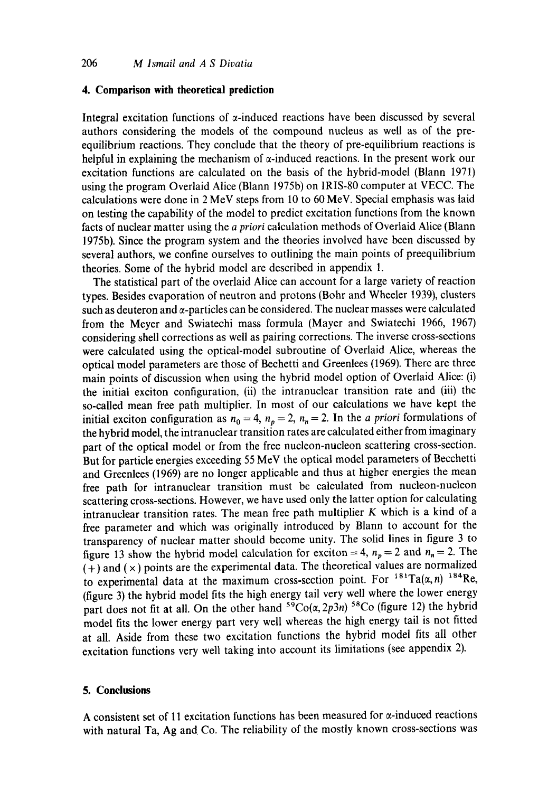# **4. Comparison with theoretical prediction**

Integral excitation functions of  $\alpha$ -induced reactions have been discussed by several authors considering the models of the compound nucleus as well as of the preequilibrium reactions. They conclude that the theory of pre-equilibrium reactions is helpful in explaining the mechanism of  $\alpha$ -induced reactions. In the present work our excitation functions are calculated on the basis of the hybrid-model (Blann 1971) using the program Overlaid Alice (Blann 1975b) on IRIS-80 computer at VECC. The calculations were done in 2 MeV steps from 10 to 60 MeV. Special emphasis was laid on testing the capability of the model to predict excitation functions from the known facts of nuclear matter using the *a priori* calculation methods of Overlaid Alice (Blann 1975b). Since the program system and the theories involved have been discussed by several authors, we confine ourselves to outlining the main points of preequilibrium theories. Some of the hybrid model are described in appendix 1.

The statistical part of the overlaid Alice can account for a large variety of reaction types. Besides evaporation of neutron and protons (Bohr and Wheeler 1939), clusters such as deuteron and  $\alpha$ -particles can be considered. The nuclear masses were calculated from the Meyer and Swiatechi mass formula (Mayer and Swiatechi 1966, 1967) considering shell corrections as well as pairing corrections. The inverse cross-sections were calculated using the optical-model subroutine of Overlaid Alice, whereas the optical model parameters are those of Bechetti and Greenlees (1969). There are three main points of discussion when using the hybrid model option of Overlaid Alice: (i) the initial exciton configuration, (ii) the intranuclear transition rate and (iii) the so-called mean free path multiplier. In most of our calculations we have kept the initial exciton configuration as  $n_0 = 4$ ,  $n_p = 2$ ,  $n_n = 2$ . In the *a priori* formulations of the hybrid model, the intranuclear transition rates are calculated either from imaginary part of the optical model or from the free nucleon-nucleon scattering cross-section. But for particle energies exceeding 55 MeV the optical model parameters of Becchetti and Greenlees (1969) are no longer applicable and thus at higher energies the mean free path for intranuclear transition must be calculated from nucleon-nucleon scattering cross-sections. However, we have used only the latter option for calculating intranuclear transition rates. The mean free path multiplier K which is a kind of a free parameter and which was originally introduced by Blann to account for the transparency of nuclear matter should become unity. The solid lines in figure 3 to figure 13 show the hybrid model calculation for exciton = 4,  $n_p = 2$  and  $n_n = 2$ . The  $(+)$  and  $(x)$  points are the experimental data. The theoretical values are normalized to experimental data at the maximum cross-section point. For  $181 \text{Ta}(\alpha, n)$   $184 \text{Re}$ , (figure 3) the hybrid model fits the high energy tail very well where the lower energy part does not fit at all. On the other hand  $5\overline{9}Co(\alpha, 2p3n)$  <sup>58</sup>Co (figure 12) the hybrid model fits the lower energy part very well whereas the high energy tail is not fitted at all. Aside from these two excitation functions the hybrid model fits all other excitation functions very well taking into account its limitations (see appendix 2).

# **5. Conclusions**

A consistent set of 11 excitation functions has been measured for  $\alpha$ -induced reactions with natural Ta, Ag and Co. The reliability of the mostly known cross-sections was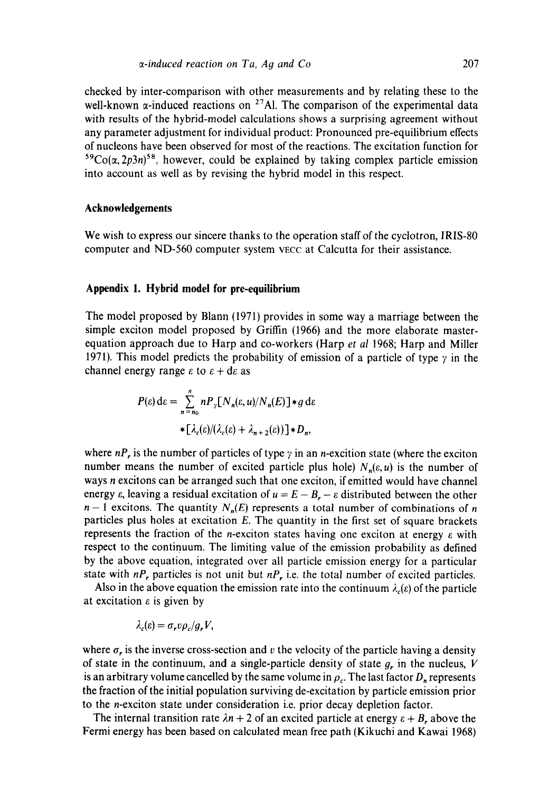checked by inter-comparison with other measurements and by relating these to the well-known  $\alpha$ -induced reactions on <sup>27</sup>Al. The comparison of the experimental data with results of the hybrid-model calculations shows a surprising agreement without any parameter adjustment for individual product: Pronounced pre-equilibrium effects of nucleons have been observed for most of the reactions. The excitation function for  ${}^{59}Co(\alpha, 2p3n)^{58}$ , however, could be explained by taking complex particle emission into account as well as by revising the hybrid model in this respect.

### **Acknowledgements**

We wish to express our sincere thanks to the operation staff of the cyclotron, IRIS-80 computer and ND-560 computer system VECC at Calcutta for their assistance.

### **Appendix I. Hybrid model for pre-equilibrium**

The model proposed by Blann (1971) provides in some way a marriage between the simple exciton model proposed by Griffin (1966) and the more elaborate masterequation approach due to Harp and co-workers (Harp *et al* 1968; Harp and Miller 1971). This model predicts the probability of emission of a particle of type  $\gamma$  in the channel energy range  $\varepsilon$  to  $\varepsilon + d\varepsilon$  as

$$
P(\varepsilon) d\varepsilon = \sum_{n=n_0}^{\tilde{n}} n P_{\gamma} [N_n(\varepsilon, u) / N_n(E)] * g d\varepsilon
$$
  
 
$$
* [\lambda_c(\varepsilon) / (\lambda_c(\varepsilon) + \lambda_{n+2}(\varepsilon))] * D_n,
$$

where  $nP_r$ , is the number of particles of type  $\gamma$  in an *n*-excition state (where the exciton number means the number of excited particle plus hole)  $N_n(\varepsilon, u)$  is the number of ways n excitons can be arranged such that one exciton, if emitted would have channel energy  $\varepsilon$ , leaving a residual excitation of  $u = E - B_r - \varepsilon$  distributed between the other  $n-1$  excitons. The quantity  $N_n(E)$  represents a total number of combinations of n particles plus holes at excitation E. The quantity in the first set of square brackets represents the fraction of the *n*-exciton states having one exciton at energy  $\varepsilon$  with respect to the continuum. The limiting value of the emission probability as defined by the above equation, integrated over all particle emission energy for a particular state with  $nP_r$ , particles is not unit but  $nP_r$ , i.e. the total number of excited particles.

Also in the above equation the emission rate into the continuum  $\lambda_c(\varepsilon)$  of the particle at excitation  $\varepsilon$  is given by

$$
\lambda_c(\varepsilon)=\sigma_r v \rho_c/g_r V,
$$

where  $\sigma_r$  is the inverse cross-section and v the velocity of the particle having a density of state in the continuum, and a single-particle density of state  $g<sub>r</sub>$  in the nucleus, V is an arbitrary volume cancelled by the same volume in  $\rho_c$ . The last factor  $D_n$  represents the fraction of the initial population surviving de-excitation by particle emission prior to the n-exciton state under consideration i.e. prior decay depletion factor.

The internal transition rate  $\lambda n + 2$  of an excited particle at energy  $\varepsilon + B$ , above the Fermi energy has been based on calculated mean free path (Kikuchi and Kawai 1968)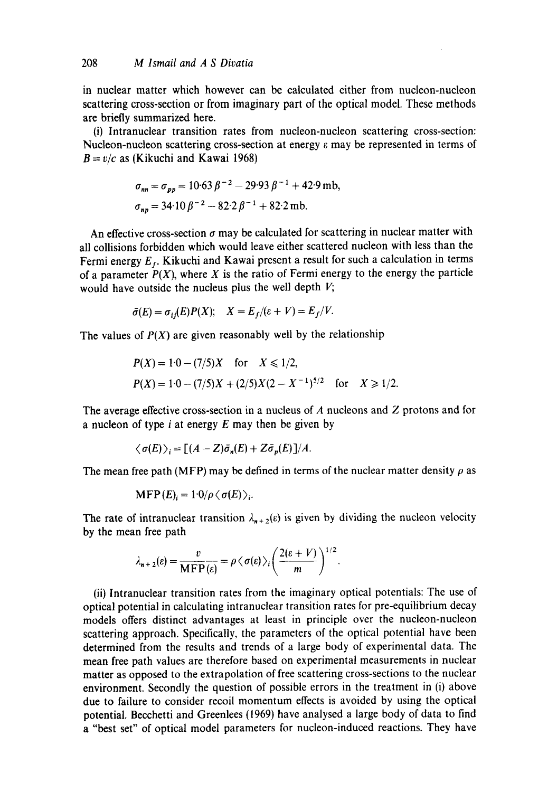in nuclear matter which however can be calculated either from nucleon-nucleon scattering cross-section or from imaginary part of the optical model. These methods are briefly summarized here.

(i) Intranuclear transition rates from nucleon-nucleon scattering cross-section: Nucleon-nucleon scattering cross-section at energy  $\varepsilon$  may be represented in terms of  $B = v/c$  as (Kikuchi and Kawai 1968)

$$
\sigma_{nn} = \sigma_{pp} = 10.63 \beta^{-2} - 29.93 \beta^{-1} + 42.9 \text{ mb},
$$
  

$$
\sigma_{np} = 34.10 \beta^{-2} - 82.2 \beta^{-1} + 82.2 \text{ mb}.
$$

An effective cross-section  $\sigma$  may be calculated for scattering in nuclear matter with all collisions forbidden which would leave either scattered nucleon with less than the Fermi energy  $E_f$ . Kikuchi and Kawai present a result for such a calculation in terms of a parameter  $P(X)$ , where X is the ratio of Fermi energy to the energy the particle would have outside the nucleus plus the well depth  $V$ ;

$$
\bar{\sigma}(E) = \sigma_{ij}(E)P(X); \quad X = E_f/(\varepsilon + V) = E_f/V.
$$

The values of  $P(X)$  are given reasonably well by the relationship

$$
P(X) = 1 \cdot 0 - (7/5)X \quad \text{for} \quad X \le 1/2,
$$
  
 
$$
P(X) = 1 \cdot 0 - (7/5)X + (2/5)X(2 - X^{-1})^{5/2} \quad \text{for} \quad X \ge 1/2.
$$

The average effective cross-section in a nucleus of  $A$  nucleons and  $Z$  protons and for a nucleon of type  $i$  at energy  $E$  may then be given by

$$
\langle \sigma(E) \rangle_i = \big[ (A - Z) \bar{\sigma}_n(E) + Z \bar{\sigma}_p(E) \big] / A.
$$

The mean free path (MFP) may be defined in terms of the nuclear matter density  $\rho$  as

$$
\text{MFP}(E)_i = 1.0/\rho \langle \sigma(E) \rangle_i.
$$

The rate of intranuclear transition  $\lambda_{n+2}(\varepsilon)$  is given by dividing the nucleon velocity by the mean free path

$$
\lambda_{n+2}(\varepsilon) = \frac{v}{\text{MFP}(\varepsilon)} = \rho \langle \sigma(\varepsilon) \rangle_i \left( \frac{2(\varepsilon + V)}{m} \right)^{1/2}.
$$

(ii) Intranuclear transition rates from the imaginary optical potentials: The use of optical potential in calculating intranuclear transition rates for pre-equilibrium decay models offers distinct advantages at least in principle over the nucleon-nucleon scattering approach. Specifically, the parameters of the optical potential have been determined from the results and trends of a large body of experimental data. The mean free path values are therefore based on experimental measurements in nuclear matter as opposed to the extrapolation of free scattering cross-sections to the nuclear environment. Secondly the question of possible errors in the treatment in (i) above due to failure to consider recoil momentum effects is avoided by using the optical potential. Becchetti and Greenlees (1969) have analysed a large body of data to find a "best set" of optical model parameters for nucleon-induced reactions. They have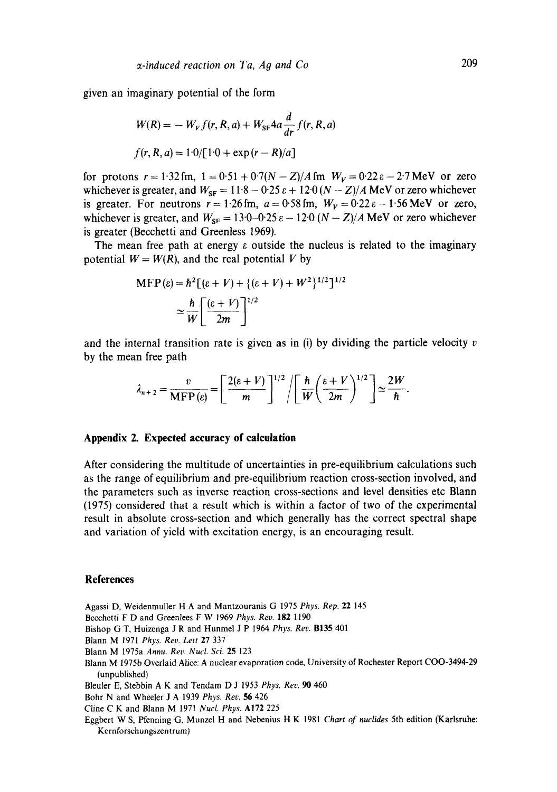given an imaginary potential of the form

$$
W(R) = -W_V f(r, R, a) + W_{\rm SF} 4a \frac{d}{dr} f(r, R, a)
$$
  

$$
f(r, R, a) = 1.0/[1.0 + \exp(r - R)/a]
$$

for protons  $r = 1.32$  fm,  $1 = 0.51 + 0.7(N-Z)/A$  fm  $W_V = 0.22 \epsilon - 2.7$  MeV or zero whichever is greater, and  $W_{SF} = 11.8 - 0.25 \varepsilon + 12.0 (N - Z)/A$  MeV or zero whichever is greater. For neutrons  $r = 1.26$  fm,  $a = 0.58$  fm,  $W_V = 0.22 \epsilon - 1.56$  MeV or zero, whichever is greater, and  $W_{SF} = 13.0 - 0.25 \epsilon - 12.0 (N - Z)/A$  MeV or zero whichever is greater (Becchetti and Greenless 1969).

The mean free path at energy  $\varepsilon$  outside the nucleus is related to the imaginary potential  $W = W(R)$ , and the real potential V by

$$
\begin{aligned} \text{MFP}(\varepsilon) &= \hbar^2 \big[ (\varepsilon + V) + \{ (\varepsilon + V) + W^2 \}^{1/2} \big]^{1/2} \\ &\simeq \frac{\hbar}{W} \bigg[ \frac{(\varepsilon + V)}{2m} \bigg]^{1/2} \end{aligned}
$$

and the internal transition rate is given as in (i) by dividing the particle velocity  $v$ by the mean free path

$$
\lambda_{n+2} = \frac{v}{\text{MFP}(\epsilon)} = \left[ \frac{2(\epsilon + V)}{m} \right]^{1/2} / \left[ \frac{\hbar}{W} \left( \frac{\epsilon + V}{2m} \right)^{1/2} \right] \approx \frac{2W}{\hbar}
$$

#### **Appendix 2. Expected accuracy of calculation**

After considering the multitude of uncertainties in pre-equilibrium calculations such as the range of equilibrium and pre-equilibrium reaction cross-section involved, and the parameters such as inverse reaction cross-sections and level densities etc Blann (1975) considered that a result which is within a factor of two of the experimental result in absolute cross-section and which generally has the correct spectral shape and variation of yield with excitation energy, is an encouraging result.

### **References**

Agassi D, Weidenmuller H A and Mantzouranis G 1975 *Phys. Rep.* 22 145

- Becchetti F D and Greenlees F W 1969 *Phys. Rev.* 182 1190
- Bishop G T, Huizenga J R and Hunmel J P 1964 *Phys. Rev.* B135 401
- Blann M 1971 *Phys. Rev. Lett* 27 337
- Blann M 1975a *Annu. Rev. Nucl. Sci.* 25 123
- Blann M 1975b Overlaid Alice: A nuclear evaporation code, University of Rochester Report COO-3494-29 (unpublished)

Bleuler E, Stebbin A K and Tendam D J 1953 *Phys. Rev. 90* 460

Bohr N and Wheeler J A 1939 *Phys. Rev. 56* 426

Cline C K and Blann M 1971 *Nucl. Phys.* A172 225

Eggbert W S, Pfenning G, Munzel H and Nebenius H K 1981 *Chart of nuclides* 5th edition (Karlsruhe: Kernforschungszentrum)